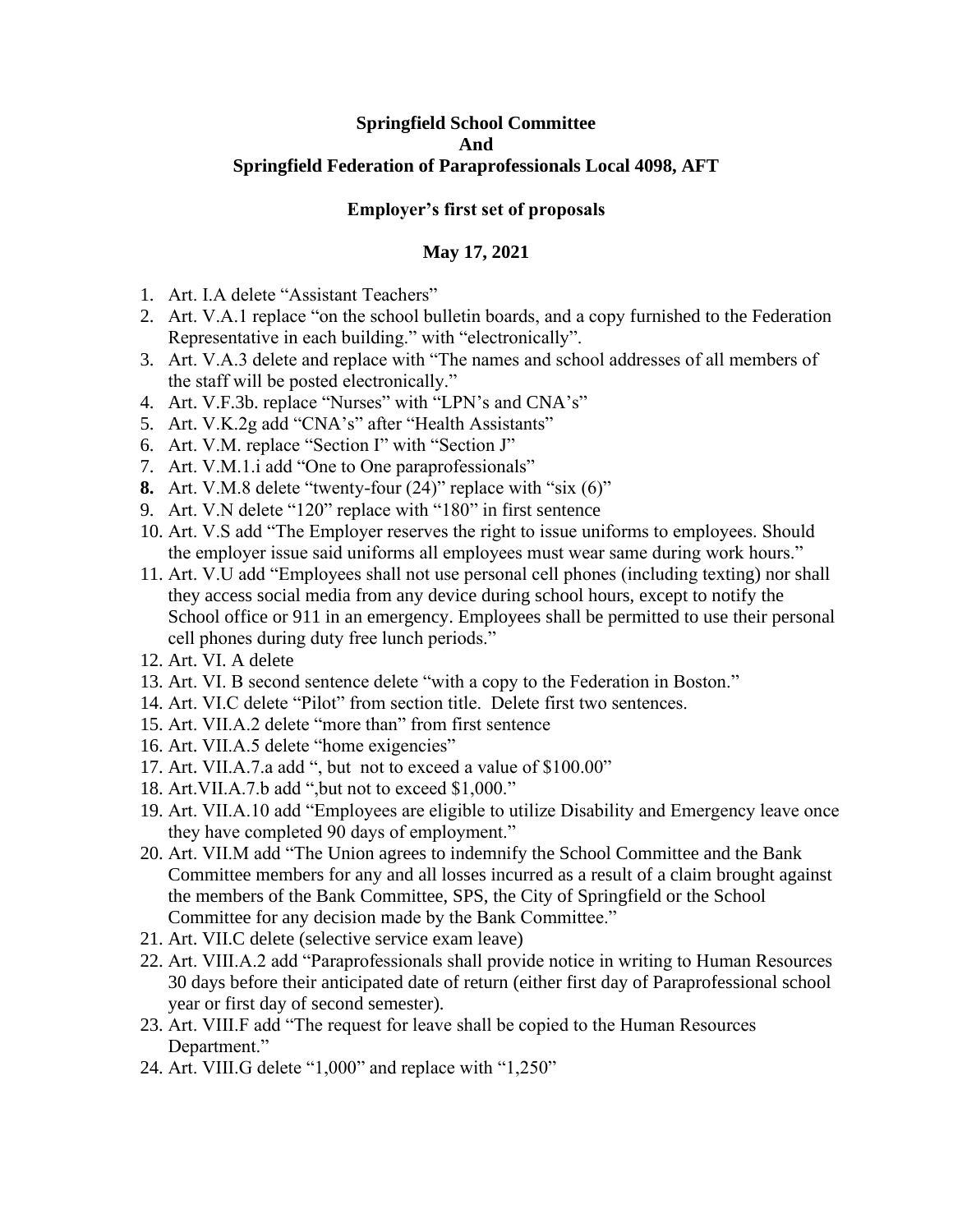## **Springfield School Committee And Springfield Federation of Paraprofessionals Local 4098, AFT**

## **Employer's first set of proposals**

## **May 17, 2021**

- 1. Art. I.A delete "Assistant Teachers"
- 2. Art. V.A.1 replace "on the school bulletin boards, and a copy furnished to the Federation Representative in each building." with "electronically".
- 3. Art. V.A.3 delete and replace with "The names and school addresses of all members of the staff will be posted electronically."
- 4. Art. V.F.3b. replace "Nurses" with "LPN's and CNA's"
- 5. Art. V.K.2g add "CNA's" after "Health Assistants"
- 6. Art. V.M. replace "Section I" with "Section J"
- 7. Art. V.M.1.i add "One to One paraprofessionals"
- **8.** Art. V.M.8 delete "twenty-four (24)" replace with "six (6)"
- 9. Art. V.N delete "120" replace with "180" in first sentence
- 10. Art. V.S add "The Employer reserves the right to issue uniforms to employees. Should the employer issue said uniforms all employees must wear same during work hours."
- 11. Art. V.U add "Employees shall not use personal cell phones (including texting) nor shall they access social media from any device during school hours, except to notify the School office or 911 in an emergency. Employees shall be permitted to use their personal cell phones during duty free lunch periods."
- 12. Art. VI. A delete
- 13. Art. VI. B second sentence delete "with a copy to the Federation in Boston."
- 14. Art. VI.C delete "Pilot" from section title. Delete first two sentences.
- 15. Art. VII.A.2 delete "more than" from first sentence
- 16. Art. VII.A.5 delete "home exigencies"
- 17. Art. VII.A.7.a add ", but not to exceed a value of \$100.00"
- 18. Art.VII.A.7.b add ",but not to exceed \$1,000."
- 19. Art. VII.A.10 add "Employees are eligible to utilize Disability and Emergency leave once they have completed 90 days of employment."
- 20. Art. VII.M add "The Union agrees to indemnify the School Committee and the Bank Committee members for any and all losses incurred as a result of a claim brought against the members of the Bank Committee, SPS, the City of Springfield or the School Committee for any decision made by the Bank Committee."
- 21. Art. VII.C delete (selective service exam leave)
- 22. Art. VIII.A.2 add "Paraprofessionals shall provide notice in writing to Human Resources 30 days before their anticipated date of return (either first day of Paraprofessional school year or first day of second semester).
- 23. Art. VIII.F add "The request for leave shall be copied to the Human Resources Department."
- 24. Art. VIII.G delete "1,000" and replace with "1,250"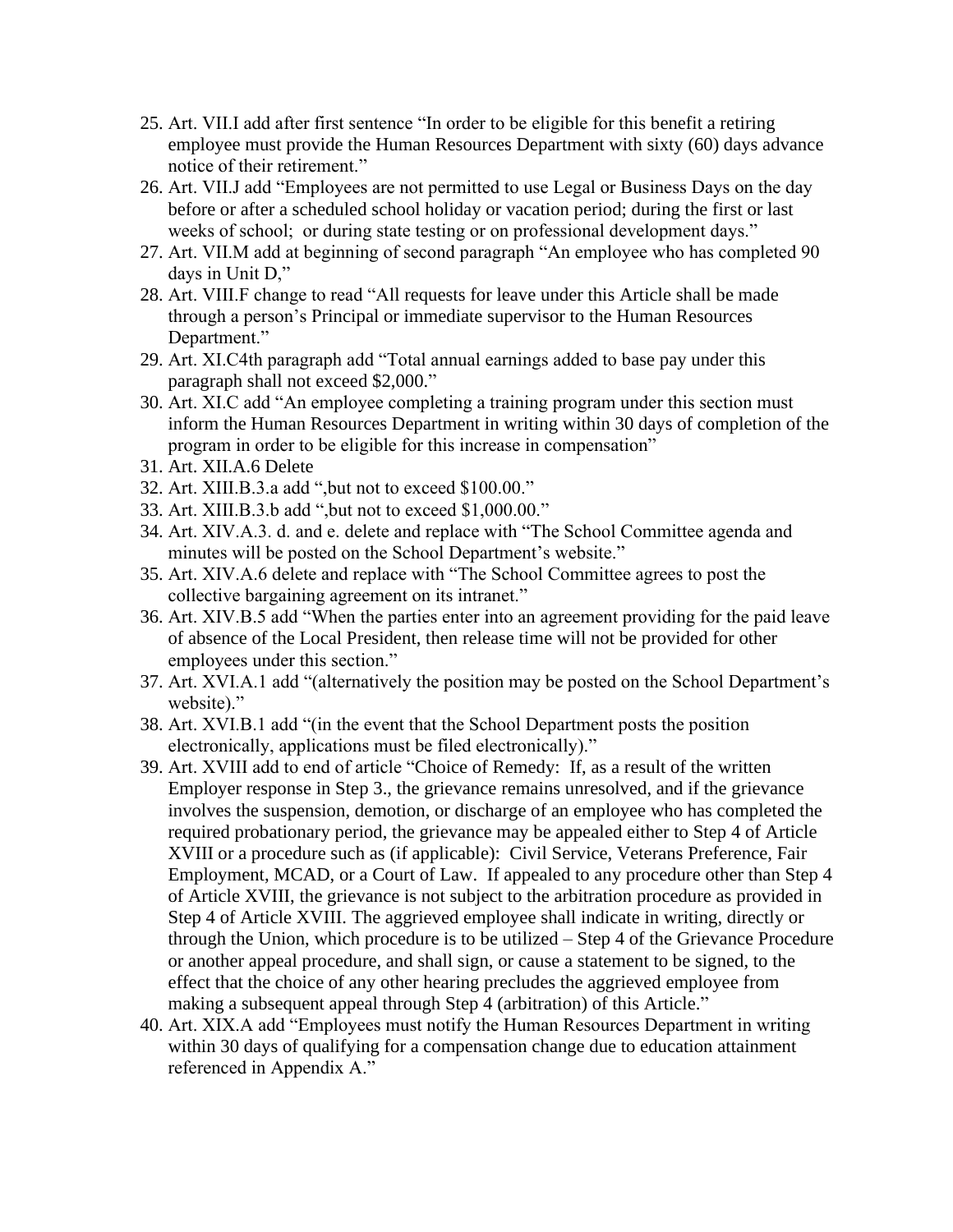- 25. Art. VII.I add after first sentence "In order to be eligible for this benefit a retiring employee must provide the Human Resources Department with sixty (60) days advance notice of their retirement."
- 26. Art. VII.J add "Employees are not permitted to use Legal or Business Days on the day before or after a scheduled school holiday or vacation period; during the first or last weeks of school; or during state testing or on professional development days."
- 27. Art. VII.M add at beginning of second paragraph "An employee who has completed 90 days in Unit D,"
- 28. Art. VIII.F change to read "All requests for leave under this Article shall be made through a person's Principal or immediate supervisor to the Human Resources Department."
- 29. Art. XI.C4th paragraph add "Total annual earnings added to base pay under this paragraph shall not exceed \$2,000."
- 30. Art. XI.C add "An employee completing a training program under this section must inform the Human Resources Department in writing within 30 days of completion of the program in order to be eligible for this increase in compensation"
- 31. Art. XII.A.6 Delete
- 32. Art. XIII.B.3.a add ",but not to exceed \$100.00."
- 33. Art. XIII.B.3.b add ",but not to exceed \$1,000.00."
- 34. Art. XIV.A.3. d. and e. delete and replace with "The School Committee agenda and minutes will be posted on the School Department's website."
- 35. Art. XIV.A.6 delete and replace with "The School Committee agrees to post the collective bargaining agreement on its intranet."
- 36. Art. XIV.B.5 add "When the parties enter into an agreement providing for the paid leave of absence of the Local President, then release time will not be provided for other employees under this section."
- 37. Art. XVI.A.1 add "(alternatively the position may be posted on the School Department's website)."
- 38. Art. XVI.B.1 add "(in the event that the School Department posts the position electronically, applications must be filed electronically)."
- 39. Art. XVIII add to end of article "Choice of Remedy: If, as a result of the written Employer response in Step 3., the grievance remains unresolved, and if the grievance involves the suspension, demotion, or discharge of an employee who has completed the required probationary period, the grievance may be appealed either to Step 4 of Article XVIII or a procedure such as (if applicable): Civil Service, Veterans Preference, Fair Employment, MCAD, or a Court of Law. If appealed to any procedure other than Step 4 of Article XVIII, the grievance is not subject to the arbitration procedure as provided in Step 4 of Article XVIII. The aggrieved employee shall indicate in writing, directly or through the Union, which procedure is to be utilized – Step 4 of the Grievance Procedure or another appeal procedure, and shall sign, or cause a statement to be signed, to the effect that the choice of any other hearing precludes the aggrieved employee from making a subsequent appeal through Step 4 (arbitration) of this Article."
- 40. Art. XIX.A add "Employees must notify the Human Resources Department in writing within 30 days of qualifying for a compensation change due to education attainment referenced in Appendix A."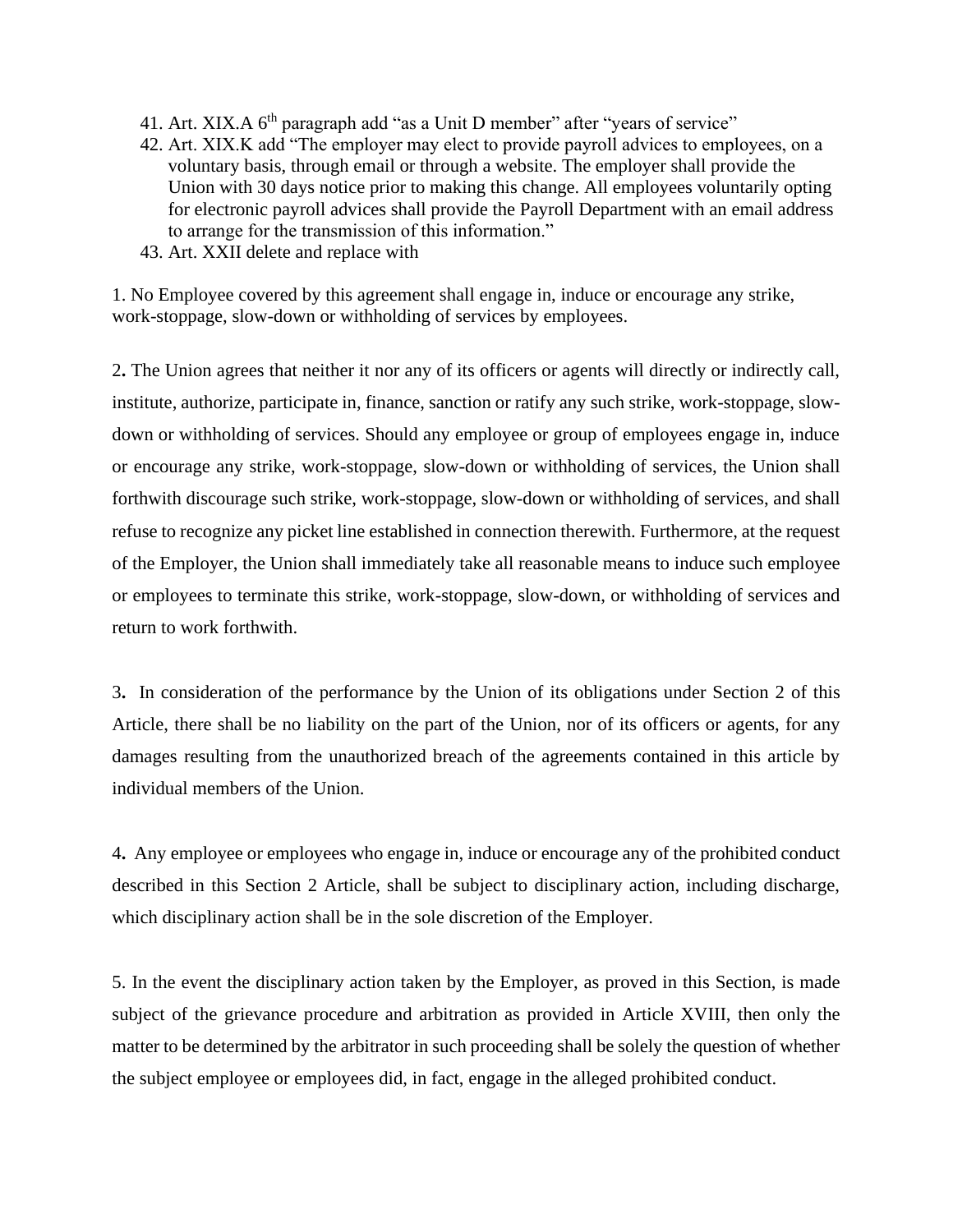- 41. Art. XIX.A  $6<sup>th</sup>$  paragraph add "as a Unit D member" after "years of service"
- 42. Art. XIX.K add "The employer may elect to provide payroll advices to employees, on a voluntary basis, through email or through a website. The employer shall provide the Union with 30 days notice prior to making this change. All employees voluntarily opting for electronic payroll advices shall provide the Payroll Department with an email address to arrange for the transmission of this information."
- 43. Art. XXII delete and replace with

1. No Employee covered by this agreement shall engage in, induce or encourage any strike, work-stoppage, slow-down or withholding of services by employees.

2**.** The Union agrees that neither it nor any of its officers or agents will directly or indirectly call, institute, authorize, participate in, finance, sanction or ratify any such strike, work-stoppage, slowdown or withholding of services. Should any employee or group of employees engage in, induce or encourage any strike, work-stoppage, slow-down or withholding of services, the Union shall forthwith discourage such strike, work-stoppage, slow-down or withholding of services, and shall refuse to recognize any picket line established in connection therewith. Furthermore, at the request of the Employer, the Union shall immediately take all reasonable means to induce such employee or employees to terminate this strike, work-stoppage, slow-down, or withholding of services and return to work forthwith.

3**.** In consideration of the performance by the Union of its obligations under Section 2 of this Article, there shall be no liability on the part of the Union, nor of its officers or agents, for any damages resulting from the unauthorized breach of the agreements contained in this article by individual members of the Union.

4**.** Any employee or employees who engage in, induce or encourage any of the prohibited conduct described in this Section 2 Article, shall be subject to disciplinary action, including discharge, which disciplinary action shall be in the sole discretion of the Employer.

5. In the event the disciplinary action taken by the Employer, as proved in this Section, is made subject of the grievance procedure and arbitration as provided in Article XVIII, then only the matter to be determined by the arbitrator in such proceeding shall be solely the question of whether the subject employee or employees did, in fact, engage in the alleged prohibited conduct.